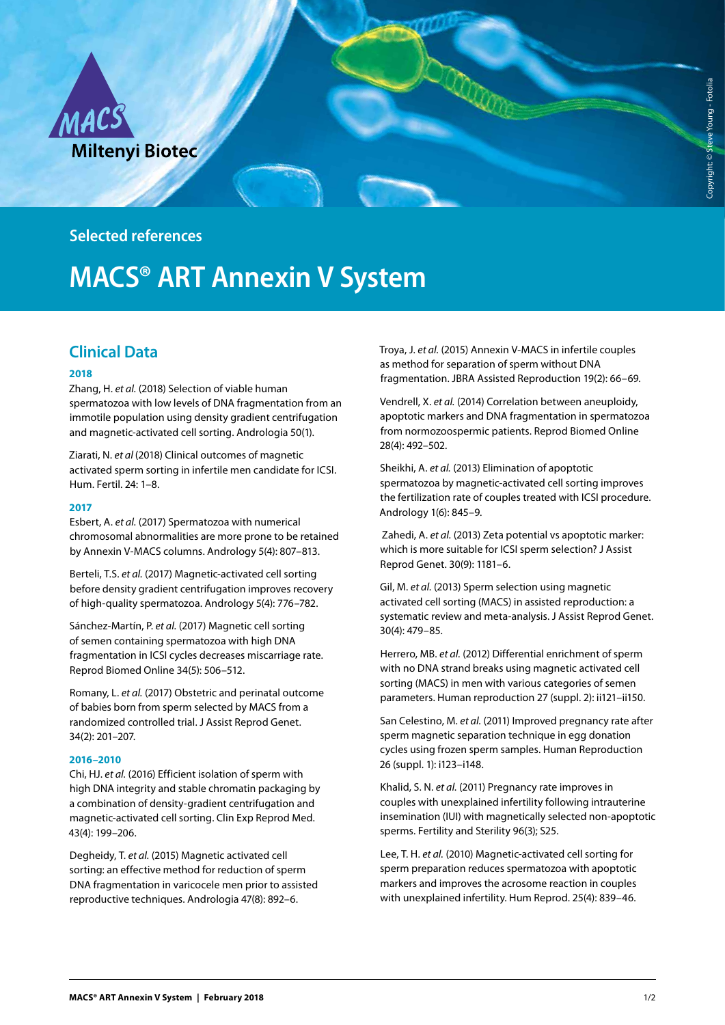

**Selected references**

# **MACS® ART Annexin V System**

## **Clinical Data**

#### **2018**

Zhang, H. *et al.* (2018) Selection of viable human spermatozoa with low levels of DNA fragmentation from an immotile population using density gradient centrifugation and magnetic-activated cell sorting. Andrologia 50(1).

Ziarati, N. *et al* (2018) Clinical outcomes of magnetic activated sperm sorting in infertile men candidate for ICSI. Hum. Fertil. 24: 1–8.

#### **2017**

Esbert, A. *et al.* (2017) Spermatozoa with numerical chromosomal abnormalities are more prone to be retained by Annexin V-MACS columns. Andrology 5(4): 807–813.

Berteli, T.S. *et al.* (2017) Magnetic-activated cell sorting before density gradient centrifugation improves recovery of high-quality spermatozoa. Andrology 5(4): 776–782.

Sánchez-Martín, P. *et al.* (2017) Magnetic cell sorting of semen containing spermatozoa with high DNA fragmentation in ICSI cycles decreases miscarriage rate. Reprod Biomed Online 34(5): 506–512.

Romany, L. *et al.* (2017) Obstetric and perinatal outcome of babies born from sperm selected by MACS from a randomized controlled trial. J Assist Reprod Genet. 34(2): 201–207.

#### **2016–2010**

Chi, HJ. *et al.* (2016) Efficient isolation of sperm with high DNA integrity and stable chromatin packaging by a combination of density-gradient centrifugation and magnetic-activated cell sorting. Clin Exp Reprod Med. 43(4): 199–206.

Degheidy, T. *et al.* (2015) Magnetic activated cell sorting: an effective method for reduction of sperm DNA fragmentation in varicocele men prior to assisted reproductive techniques. Andrologia 47(8): 892–6.

Troya, J. *et al.* (2015) Annexin V-MACS in infertile couples as method for separation of sperm without DNA fragmentation. JBRA Assisted Reproduction 19(2): 66–69.

Vendrell, X. *et al.* (2014) Correlation between aneuploidy, apoptotic markers and DNA fragmentation in spermatozoa from normozoospermic patients. Reprod Biomed Online 28(4): 492–502.

Sheikhi, A. *et al.* (2013) Elimination of apoptotic spermatozoa by magnetic-activated cell sorting improves the fertilization rate of couples treated with ICSI procedure. Andrology 1(6): 845–9.

 Zahedi, A. *et al.* (2013) Zeta potential vs apoptotic marker: which is more suitable for ICSI sperm selection? J Assist Reprod Genet. 30(9): 1181–6.

Gil, M. *et al.* (2013) Sperm selection using magnetic activated cell sorting (MACS) in assisted reproduction: a systematic review and meta-analysis. J Assist Reprod Genet. 30(4): 479–85.

Herrero, MB. *et al.* (2012) Differential enrichment of sperm with no DNA strand breaks using magnetic activated cell sorting (MACS) in men with various categories of semen parameters. Human reproduction 27 (suppl. 2): ii121–ii150.

San Celestino, M. *et al.* (2011) Improved pregnancy rate after sperm magnetic separation technique in egg donation cycles using frozen sperm samples. Human Reproduction 26 (suppl. 1): i123–i148.

Khalid, S. N. *et al.* (2011) Pregnancy rate improves in couples with unexplained infertility following intrauterine insemination (IUI) with magnetically selected non-apoptotic sperms. Fertility and Sterility 96(3); S25.

Lee, T. H. *et al.* (2010) Magnetic-activated cell sorting for sperm preparation reduces spermatozoa with apoptotic markers and improves the acrosome reaction in couples with unexplained infertility. Hum Reprod. 25(4): 839–46.